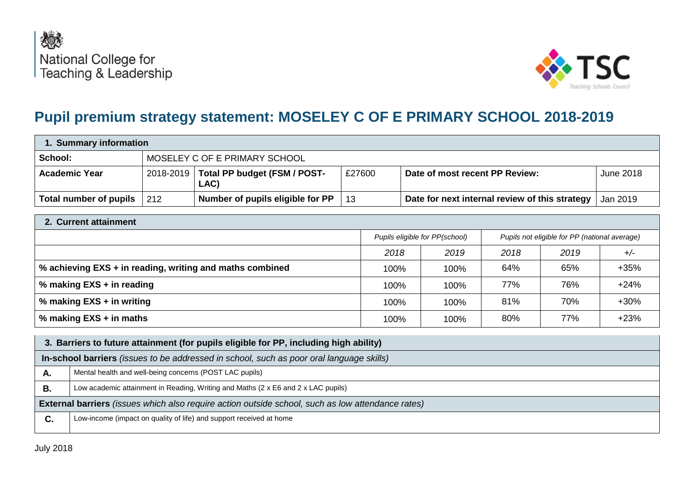



# **Pupil premium strategy statement: MOSELEY C OF E PRIMARY SCHOOL 2018-2019**

| 1. Summary information |     |                                                  |        |                                                |                  |  |
|------------------------|-----|--------------------------------------------------|--------|------------------------------------------------|------------------|--|
| School:                |     | MOSELEY C OF E PRIMARY SCHOOL                    |        |                                                |                  |  |
| <b>Academic Year</b>   |     | 2018-2019   Total PP budget (FSM / POST-<br>LAC) | £27600 | Date of most recent PP Review:                 | <b>June 2018</b> |  |
| Total number of pupils | 212 | Number of pupils eligible for PP                 | 13     | Date for next internal review of this strategy | Jan 2019         |  |

| 2. Current attainment                                    |                                                                                 |      |      |      |        |  |
|----------------------------------------------------------|---------------------------------------------------------------------------------|------|------|------|--------|--|
|                                                          | Pupils eligible for PP(school)<br>Pupils not eligible for PP (national average) |      |      |      |        |  |
|                                                          | 2018                                                                            | 2019 | 2018 | 2019 | $+/-$  |  |
| % achieving EXS + in reading, writing and maths combined | 100%                                                                            | 100% | 64%  | 65%  | $+35%$ |  |
| % making EXS + in reading                                | 100%                                                                            | 100% | 77%  | 76%  | $+24%$ |  |
| % making EXS + in writing                                | 100%                                                                            | 100% | 81%  | 70%  | $+30%$ |  |
| % making EXS + in maths                                  | 100%                                                                            | 100% | 80%  | 77%  | $+23%$ |  |

|                                                                                                          | 3. Barriers to future attainment (for pupils eligible for PP, including high ability) |  |  |  |  |
|----------------------------------------------------------------------------------------------------------|---------------------------------------------------------------------------------------|--|--|--|--|
| In-school barriers (issues to be addressed in school, such as poor oral language skills)                 |                                                                                       |  |  |  |  |
| А.                                                                                                       | Mental health and well-being concerns (POST LAC pupils)                               |  |  |  |  |
| В.                                                                                                       | Low academic attainment in Reading, Writing and Maths (2 x E6 and 2 x LAC pupils)     |  |  |  |  |
| <b>External barriers</b> (issues which also require action outside school, such as low attendance rates) |                                                                                       |  |  |  |  |
| C.                                                                                                       | Low-income (impact on quality of life) and support received at home                   |  |  |  |  |
|                                                                                                          |                                                                                       |  |  |  |  |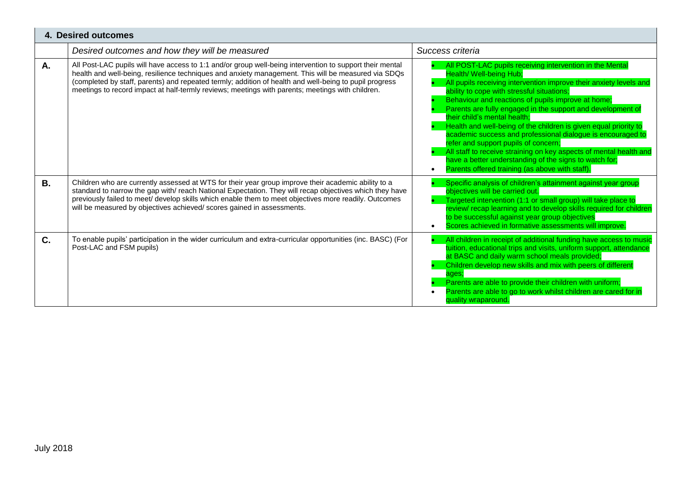| 4. Desired outcomes |                                                                                                                                                                                                                                                                                                                                                                                                                               |                                                                                                                                                                                                                                                                                                                                                                                                                                                                                                                                                                                                                                                                                                                          |  |  |  |
|---------------------|-------------------------------------------------------------------------------------------------------------------------------------------------------------------------------------------------------------------------------------------------------------------------------------------------------------------------------------------------------------------------------------------------------------------------------|--------------------------------------------------------------------------------------------------------------------------------------------------------------------------------------------------------------------------------------------------------------------------------------------------------------------------------------------------------------------------------------------------------------------------------------------------------------------------------------------------------------------------------------------------------------------------------------------------------------------------------------------------------------------------------------------------------------------------|--|--|--|
|                     | Desired outcomes and how they will be measured                                                                                                                                                                                                                                                                                                                                                                                | Success criteria                                                                                                                                                                                                                                                                                                                                                                                                                                                                                                                                                                                                                                                                                                         |  |  |  |
| А.                  | All Post-LAC pupils will have access to 1:1 and/or group well-being intervention to support their mental<br>health and well-being, resilience techniques and anxiety management. This will be measured via SDQs<br>(completed by staff, parents) and repeated termly; addition of health and well-being to pupil progress<br>meetings to record impact at half-termly reviews; meetings with parents; meetings with children. | All POST-LAC pupils receiving intervention in the Mental<br>Health/Well-being Hub:<br>All pupils receiving intervention improve their anxiety levels and<br>ability to cope with stressful situations;<br>Behaviour and reactions of pupils improve at home;<br>Parents are fully engaged in the support and development of<br>their child's mental health;<br>Health and well-being of the children is given equal priority to<br>academic success and professional dialogue is encouraged to<br>refer and support pupils of concern;<br>All staff to receive straining on key aspects of mental health and<br>have a better understanding of the signs to watch for;<br>Parents offered training (as above with staff) |  |  |  |
| <b>B.</b>           | Children who are currently assessed at WTS for their year group improve their academic ability to a<br>standard to narrow the gap with/reach National Expectation. They will recap objectives which they have<br>previously failed to meet/ develop skills which enable them to meet objectives more readily. Outcomes<br>will be measured by objectives achieved/scores gained in assessments.                               | Specific analysis of children's attainment against year group<br>obiectives will be carried out.<br>Targeted intervention (1:1 or small group) will take place to<br>review/ recap learning and to develop skills required for children<br>to be successful against year group objectives<br>Scores achieved in formative assessments will improve.<br>$\bullet$                                                                                                                                                                                                                                                                                                                                                         |  |  |  |
| $C_{1}$             | To enable pupils' participation in the wider curriculum and extra-curricular opportunities (inc. BASC) (For<br>Post-LAC and FSM pupils)                                                                                                                                                                                                                                                                                       | All children in receipt of additional funding have access to music<br>tuition, educational trips and visits, uniform support, attendance<br>at BASC and daily warm school meals provided;<br>Children develop new skills and mix with peers of different<br>ages:<br>Parents are able to provide their children with uniform;<br>Parents are able to go to work whilst children are cared for in<br>quality wraparound.                                                                                                                                                                                                                                                                                                  |  |  |  |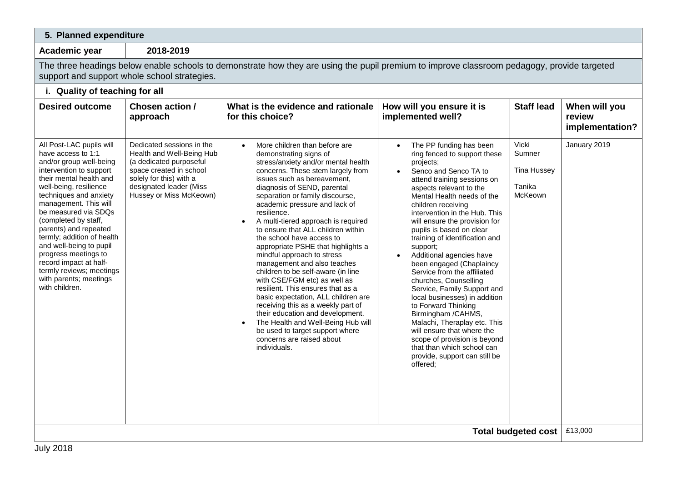### **5. Planned expenditure**

**Academic year 2018-2019**

The three headings below enable schools to demonstrate how they are using the pupil premium to improve classroom pedagogy, provide targeted support and support whole school strategies.

### **i. Quality of teaching for all Desired outcome Chosen action / approach What is the evidence and rationale for this choice? How will you ensure it is implemented well? Staff lead When will you review implementation?** All Post-LAC pupils will have access to 1:1 and/or group well-being intervention to support their mental health and well-being, resilience techniques and anxiety management. This will be measured via SDQs (completed by staff, parents) and repeated termly; addition of health and well-being to pupil progress meetings to record impact at halftermly reviews; meetings with parents; meetings with children Dedicated sessions in the Health and Well-Being Hub (a dedicated purposeful space created in school solely for this) with a designated leader (Miss Hussey or Miss McKeown) • More children than before are demonstrating signs of stress/anxiety and/or mental health concerns. These stem largely from issues such as bereavement, diagnosis of SEND, parental separation or family discourse, academic pressure and lack of resilience. A multi-tiered approach is required to ensure that ALL children within the school have access to appropriate PSHE that highlights a mindful approach to stress management and also teaches children to be self-aware (in line with CSE/FGM etc) as well as resilient. This ensures that as a basic expectation, ALL children are receiving this as a weekly part of their education and development. • The Health and Well-Being Hub will be used to target support where concerns are raised about individuals. The PP funding has been ring fenced to support these projects; • Senco and Senco TA to attend training sessions on aspects relevant to the Mental Health needs of the children receiving intervention in the Hub. This will ensure the provision for pupils is based on clear training of identification and support; Additional agencies have been engaged (Chaplaincy Service from the affiliated churches, Counselling Service, Family Support and local businesses) in addition to Forward Thinking Birmingham /CAHMS, Malachi, Theraplay etc. This will ensure that where the scope of provision is beyond that than which school can provide, support can still be offered; Vicki Sumner Tina Hussey Tanika McKeown January 2019 **Total budgeted cost** | £13,000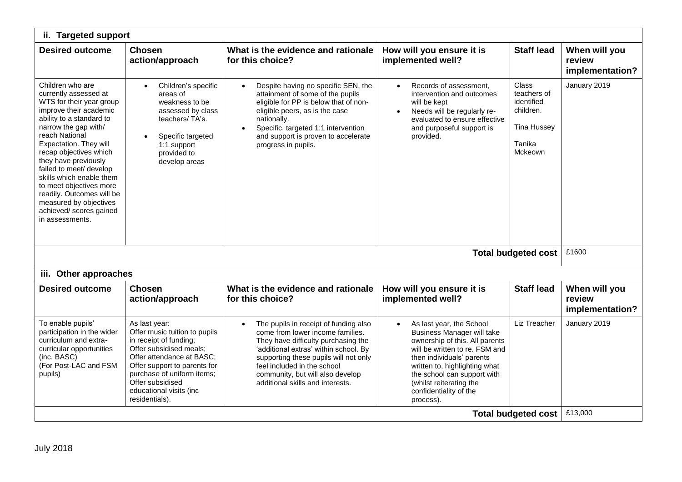| ii. Targeted support                                                                                                                                                                                                                                                                                                                                                                                                                     |                                                                                                                                                                                                                                                                 |                                                                                                                                                                                                                                                                                                           |                                                                                                                                                                                                                                                                                                  |                                                                                                   |                                            |  |
|------------------------------------------------------------------------------------------------------------------------------------------------------------------------------------------------------------------------------------------------------------------------------------------------------------------------------------------------------------------------------------------------------------------------------------------|-----------------------------------------------------------------------------------------------------------------------------------------------------------------------------------------------------------------------------------------------------------------|-----------------------------------------------------------------------------------------------------------------------------------------------------------------------------------------------------------------------------------------------------------------------------------------------------------|--------------------------------------------------------------------------------------------------------------------------------------------------------------------------------------------------------------------------------------------------------------------------------------------------|---------------------------------------------------------------------------------------------------|--------------------------------------------|--|
| <b>Desired outcome</b>                                                                                                                                                                                                                                                                                                                                                                                                                   | <b>Chosen</b><br>action/approach                                                                                                                                                                                                                                | What is the evidence and rationale<br>for this choice?                                                                                                                                                                                                                                                    | How will you ensure it is<br>implemented well?                                                                                                                                                                                                                                                   | <b>Staff lead</b>                                                                                 | When will you<br>review<br>implementation? |  |
| Children who are<br>currently assessed at<br>WTS for their year group<br>improve their academic<br>ability to a standard to<br>narrow the gap with/<br>reach National<br>Expectation. They will<br>recap objectives which<br>they have previously<br>failed to meet/ develop<br>skills which enable them<br>to meet objectives more<br>readily. Outcomes will be<br>measured by objectives<br>achieved/ scores gained<br>in assessments. | Children's specific<br>areas of<br>weakness to be<br>assessed by class<br>teachers/TA's.<br>Specific targeted<br>$\bullet$<br>1:1 support<br>provided to<br>develop areas                                                                                       | Despite having no specific SEN, the<br>attainment of some of the pupils<br>eligible for PP is below that of non-<br>eligible peers, as is the case<br>nationally.<br>Specific, targeted 1:1 intervention<br>$\bullet$<br>and support is proven to accelerate<br>progress in pupils.                       | Records of assessment.<br>intervention and outcomes<br>will be kept<br>Needs will be regularly re-<br>$\bullet$<br>evaluated to ensure effective<br>and purposeful support is<br>provided.                                                                                                       | Class<br>teachers of<br>identified<br>children.<br><b>Tina Hussey</b><br>Tanika<br><b>Mckeown</b> | January 2019                               |  |
|                                                                                                                                                                                                                                                                                                                                                                                                                                          |                                                                                                                                                                                                                                                                 |                                                                                                                                                                                                                                                                                                           |                                                                                                                                                                                                                                                                                                  | <b>Total budgeted cost</b>                                                                        | £1600                                      |  |
| iii. Other approaches                                                                                                                                                                                                                                                                                                                                                                                                                    |                                                                                                                                                                                                                                                                 |                                                                                                                                                                                                                                                                                                           |                                                                                                                                                                                                                                                                                                  |                                                                                                   |                                            |  |
| <b>Desired outcome</b>                                                                                                                                                                                                                                                                                                                                                                                                                   | <b>Chosen</b><br>action/approach                                                                                                                                                                                                                                | What is the evidence and rationale<br>for this choice?                                                                                                                                                                                                                                                    | How will you ensure it is<br>implemented well?                                                                                                                                                                                                                                                   | <b>Staff lead</b>                                                                                 | When will you<br>review<br>implementation? |  |
| To enable pupils'<br>participation in the wider<br>curriculum and extra-<br>curricular opportunities<br>(inc. BASC)<br>(For Post-LAC and FSM<br>pupils)                                                                                                                                                                                                                                                                                  | As last year:<br>Offer music tuition to pupils<br>in receipt of funding;<br>Offer subsidised meals;<br>Offer attendance at BASC;<br>Offer support to parents for<br>purchase of uniform items;<br>Offer subsidised<br>educational visits (inc<br>residentials). | The pupils in receipt of funding also<br>come from lower income families.<br>They have difficulty purchasing the<br>'additional extras' within school. By<br>supporting these pupils will not only<br>feel included in the school<br>community, but will also develop<br>additional skills and interests. | As last year, the School<br><b>Business Manager will take</b><br>ownership of this. All parents<br>will be written to re. FSM and<br>then individuals' parents<br>written to, highlighting what<br>the school can support with<br>(whilst reiterating the<br>confidentiality of the<br>process). | Liz Treacher                                                                                      | January 2019<br>£13,000                    |  |
| <b>Total budgeted cost</b>                                                                                                                                                                                                                                                                                                                                                                                                               |                                                                                                                                                                                                                                                                 |                                                                                                                                                                                                                                                                                                           |                                                                                                                                                                                                                                                                                                  |                                                                                                   |                                            |  |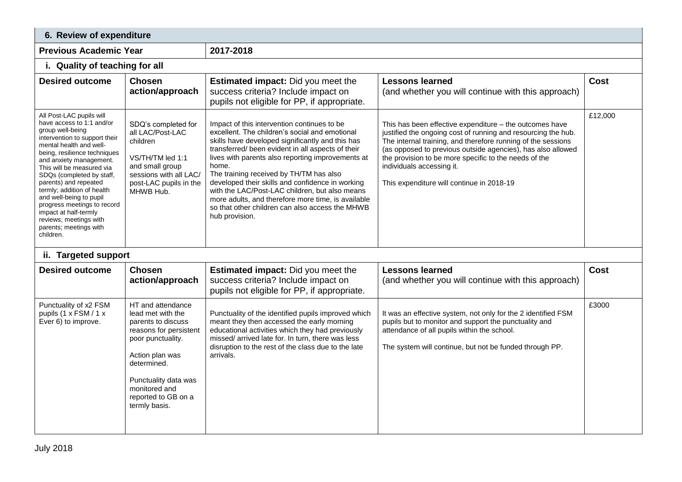| 6. Review of expenditure                                                                                                                                                                                                                                                                                                                                                                                                                                              |                                                                                                                                                                                                                                |                                                                                                                                                                                                                                                                                                                                                                                                                                                                                                                                                  |                                                                                                                                                                                                                                                                                                                                                                                            |             |  |  |
|-----------------------------------------------------------------------------------------------------------------------------------------------------------------------------------------------------------------------------------------------------------------------------------------------------------------------------------------------------------------------------------------------------------------------------------------------------------------------|--------------------------------------------------------------------------------------------------------------------------------------------------------------------------------------------------------------------------------|--------------------------------------------------------------------------------------------------------------------------------------------------------------------------------------------------------------------------------------------------------------------------------------------------------------------------------------------------------------------------------------------------------------------------------------------------------------------------------------------------------------------------------------------------|--------------------------------------------------------------------------------------------------------------------------------------------------------------------------------------------------------------------------------------------------------------------------------------------------------------------------------------------------------------------------------------------|-------------|--|--|
| <b>Previous Academic Year</b>                                                                                                                                                                                                                                                                                                                                                                                                                                         |                                                                                                                                                                                                                                | 2017-2018                                                                                                                                                                                                                                                                                                                                                                                                                                                                                                                                        |                                                                                                                                                                                                                                                                                                                                                                                            |             |  |  |
| i. Quality of teaching for all                                                                                                                                                                                                                                                                                                                                                                                                                                        |                                                                                                                                                                                                                                |                                                                                                                                                                                                                                                                                                                                                                                                                                                                                                                                                  |                                                                                                                                                                                                                                                                                                                                                                                            |             |  |  |
| <b>Desired outcome</b>                                                                                                                                                                                                                                                                                                                                                                                                                                                | <b>Chosen</b><br>action/approach                                                                                                                                                                                               | <b>Estimated impact:</b> Did you meet the<br>success criteria? Include impact on<br>pupils not eligible for PP, if appropriate.                                                                                                                                                                                                                                                                                                                                                                                                                  | <b>Lessons learned</b><br>(and whether you will continue with this approach)                                                                                                                                                                                                                                                                                                               | <b>Cost</b> |  |  |
| All Post-LAC pupils will<br>have access to 1:1 and/or<br>group well-being<br>intervention to support their<br>mental health and well-<br>being, resilience techniques<br>and anxiety management.<br>This will be measured via<br>SDQs (completed by staff,<br>parents) and repeated<br>termly; addition of health<br>and well-being to pupil<br>progress meetings to record<br>impact at half-termly<br>reviews; meetings with<br>parents; meetings with<br>children. | SDQ's completed for<br>all LAC/Post-LAC<br>children<br>VS/TH/TM led 1:1<br>and small group<br>sessions with all LAC/<br>post-LAC pupils in the<br>MHWB Hub.                                                                    | Impact of this intervention continues to be<br>excellent. The children's social and emotional<br>skills have developed significantly and this has<br>transferred/ been evident in all aspects of their<br>lives with parents also reporting improvements at<br>home.<br>The training received by TH/TM has also<br>developed their skills and confidence in working<br>with the LAC/Post-LAC children, but also means<br>more adults, and therefore more time, is available<br>so that other children can also access the MHWB<br>hub provision. | This has been effective expenditure - the outcomes have<br>justified the ongoing cost of running and resourcing the hub.<br>The internal training, and therefore running of the sessions<br>(as opposed to previous outside agencies), has also allowed<br>the provision to be more specific to the needs of the<br>individuals accessing it.<br>This expenditure will continue in 2018-19 | £12,000     |  |  |
| ii. Targeted support                                                                                                                                                                                                                                                                                                                                                                                                                                                  |                                                                                                                                                                                                                                |                                                                                                                                                                                                                                                                                                                                                                                                                                                                                                                                                  |                                                                                                                                                                                                                                                                                                                                                                                            |             |  |  |
| <b>Desired outcome</b>                                                                                                                                                                                                                                                                                                                                                                                                                                                | <b>Chosen</b><br>action/approach                                                                                                                                                                                               | <b>Estimated impact:</b> Did you meet the<br>success criteria? Include impact on<br>pupils not eligible for PP, if appropriate.                                                                                                                                                                                                                                                                                                                                                                                                                  | <b>Lessons learned</b><br>(and whether you will continue with this approach)                                                                                                                                                                                                                                                                                                               | <b>Cost</b> |  |  |
| Punctuality of x2 FSM<br>pupils (1 x FSM / 1 x<br>Ever 6) to improve.                                                                                                                                                                                                                                                                                                                                                                                                 | HT and attendance<br>lead met with the<br>parents to discuss<br>reasons for persistent<br>poor punctuality.<br>Action plan was<br>determined.<br>Punctuality data was<br>monitored and<br>reported to GB on a<br>termly basis. | Punctuality of the identified pupils improved which<br>meant they then accessed the early morning<br>educational activities which they had previously<br>missed/ arrived late for. In turn, there was less<br>disruption to the rest of the class due to the late<br>arrivals.                                                                                                                                                                                                                                                                   | It was an effective system, not only for the 2 identified FSM<br>pupils but to monitor and support the punctuality and<br>attendance of all pupils within the school.<br>The system will continue, but not be funded through PP.                                                                                                                                                           | £3000       |  |  |